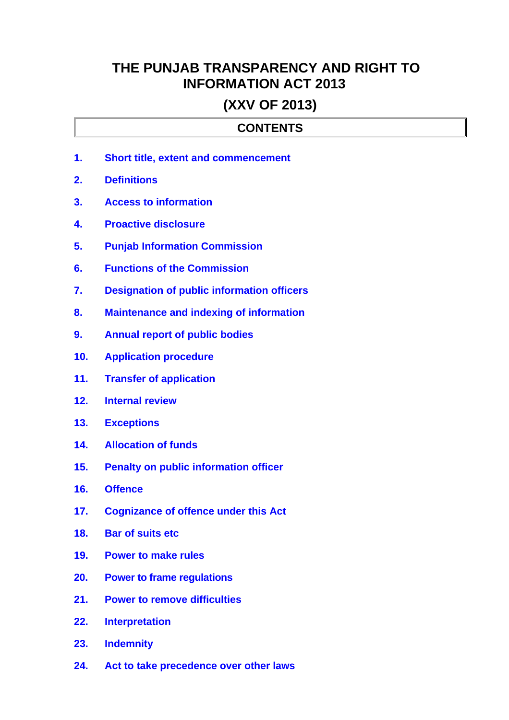# **THE PUNJAB TRANSPARENCY AND RIGHT TO INFORMATION ACT 2013**

## **(XXV OF 2013)**

### **CONTENTS**

- **1. [Short title, extent and commencement](#page-2-1)**
- **2. [Definitions](#page-2-0)**
- **3. [Access to information](#page-3-1)**
- **4. [Proactive disclosure](#page-3-0)**
- **5. [Punjab Information Commission](#page-4-0)**
- **6. [Functions of the Commission](#page-5-0)**
- **7. [Designation of public information officers](#page-6-0)**
- **8. [Maintenance and indexing of information](#page-7-2)**
- **9. [Annual report of public bodies](#page-7-1)**
- **10. [Application procedure](#page-7-0)**
- **11. [Transfer of application](#page-8-1)**
- **12. [Internal review](#page-8-0)**
- **13. [Exceptions](#page-9-0)**
- **14. [Allocation of funds](#page-10-5)**
- **15. [Penalty on public information officer](#page-10-4)**
- **16. [Offence](#page-10-3)**
- **17. [Cognizance of offence under this Act](#page-10-2)**
- **18. [Bar of suits etc](#page-10-1)**
- **19. [Power to make rules](#page-10-0)**
- **20. [Power to frame regulations](#page-11-4)**
- **21. [Power to remove difficulties](#page-11-3)**
- **22. [Interpretation](#page-11-2)**
- **23. [Indemnity](#page-11-1)**
- **24. [Act to take precedence over other laws](#page-11-0)**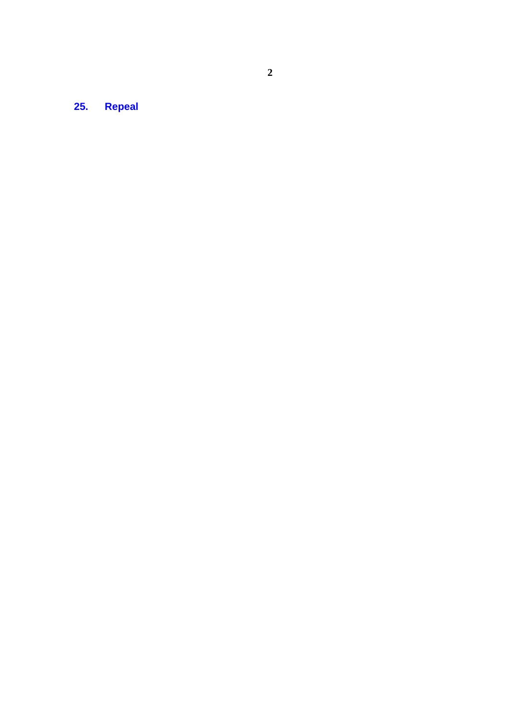**25. [Repeal](#page-11-5)**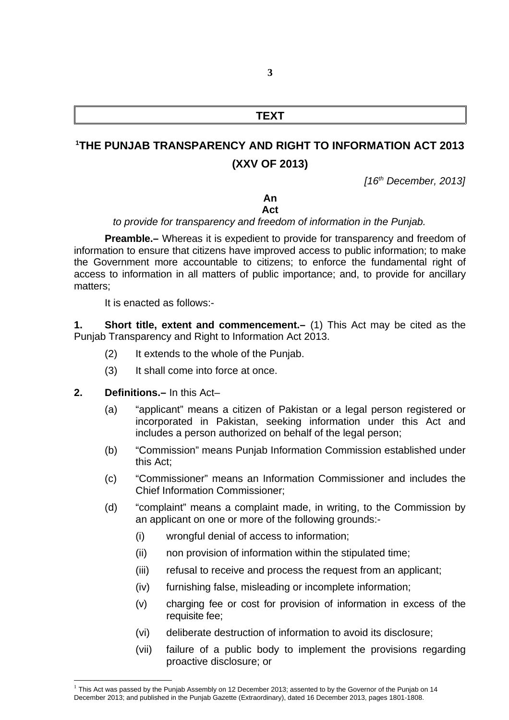### **TEXT**

## **[1](#page-2-2)THE PUNJAB TRANSPARENCY AND RIGHT TO INFORMATION ACT 2013 (XXV OF 2013)**

*[16th December, 2013]*

#### **An Act**

### *to provide for transparency and freedom of information in the Punjab.*

**Preamble.–** Whereas it is expedient to provide for transparency and freedom of information to ensure that citizens have improved access to public information; to make the Government more accountable to citizens; to enforce the fundamental right of access to information in all matters of public importance; and, to provide for ancillary matters;

<span id="page-2-1"></span>It is enacted as follows:-

**1. Short title, extent and commencement.–** (1) This Act may be cited as the Punjab Transparency and Right to Information Act 2013.

- (2) It extends to the whole of the Punjab.
- (3) It shall come into force at once.

#### **2. Definitions.–** In this Act–

- <span id="page-2-0"></span>(a) "applicant" means a citizen of Pakistan or a legal person registered or incorporated in Pakistan, seeking information under this Act and includes a person authorized on behalf of the legal person;
- (b) "Commission" means Punjab Information Commission established under this Act;
- (c) "Commissioner" means an Information Commissioner and includes the Chief Information Commissioner;
- (d) "complaint" means a complaint made, in writing, to the Commission by an applicant on one or more of the following grounds:-
	- (i) wrongful denial of access to information;
	- (ii) non provision of information within the stipulated time;
	- (iii) refusal to receive and process the request from an applicant;
	- (iv) furnishing false, misleading or incomplete information;
	- (v) charging fee or cost for provision of information in excess of the requisite fee;
	- (vi) deliberate destruction of information to avoid its disclosure;
	- (vii) failure of a public body to implement the provisions regarding proactive disclosure; or

<span id="page-2-2"></span> $^1$  This Act was passed by the Punjab Assembly on 12 December 2013; assented to by the Governor of the Punjab on 14 December 2013; and published in the Punjab Gazette (Extraordinary), dated 16 December 2013, pages 1801-1808.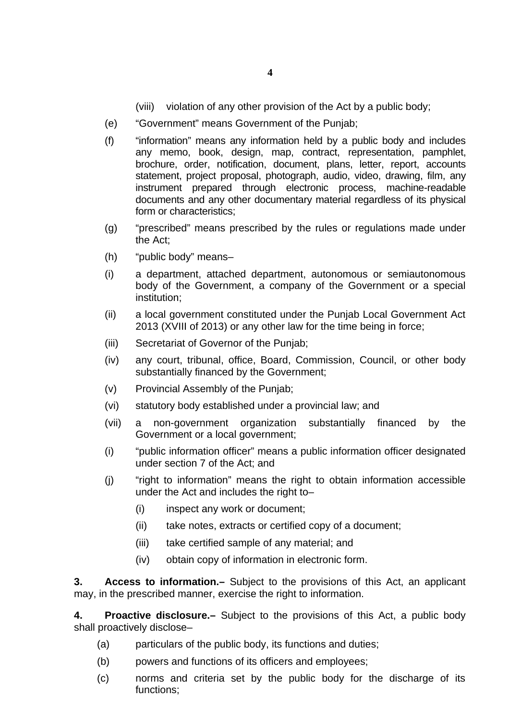(viii) violation of any other provision of the Act by a public body;

- (e) "Government" means Government of the Punjab;
- (f) "information" means any information held by a public body and includes any memo, book, design, map, contract, representation, pamphlet, brochure, order, notification, document, plans, letter, report, accounts statement, project proposal, photograph, audio, video, drawing, film, any instrument prepared through electronic process, machine-readable documents and any other documentary material regardless of its physical form or characteristics;
- (g) "prescribed" means prescribed by the rules or regulations made under the Act;
- (h) "public body" means–
- (i) a department, attached department, autonomous or semiautonomous body of the Government, a company of the Government or a special institution;
- (ii) a local government constituted under the Punjab Local Government Act 2013 (XVIII of 2013) or any other law for the time being in force;
- (iii) Secretariat of Governor of the Punjab;
- (iv) any court, tribunal, office, Board, Commission, Council, or other body substantially financed by the Government;
- (v) Provincial Assembly of the Punjab;
- (vi) statutory body established under a provincial law; and
- (vii) a non-government organization substantially financed by the Government or a local government;
- (i) "public information officer" means a public information officer designated under section 7 of the Act; and
- (j) "right to information" means the right to obtain information accessible under the Act and includes the right to–
	- (i) inspect any work or document;
	- (ii) take notes, extracts or certified copy of a document;
	- (iii) take certified sample of any material; and
	- (iv) obtain copy of information in electronic form.

<span id="page-3-1"></span>**3. Access to information.–** Subject to the provisions of this Act, an applicant may, in the prescribed manner, exercise the right to information.

**4. Proactive disclosure.–** Subject to the provisions of this Act, a public body shall proactively disclose–

- <span id="page-3-0"></span>(a) particulars of the public body, its functions and duties;
- (b) powers and functions of its officers and employees;
- (c) norms and criteria set by the public body for the discharge of its functions;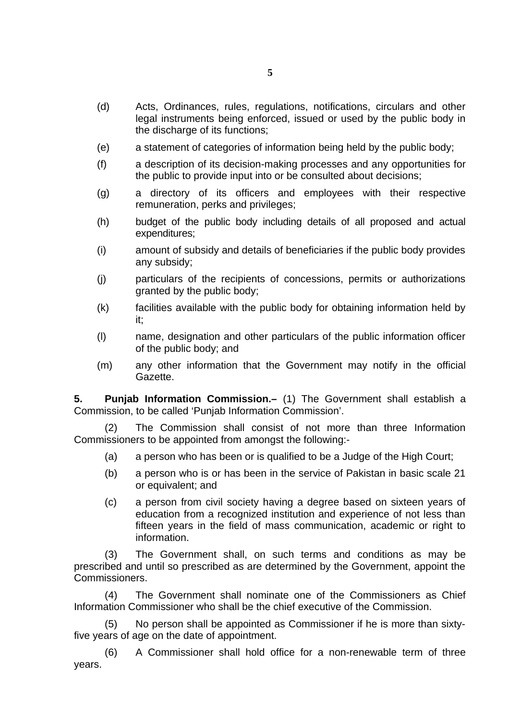- (d) Acts, Ordinances, rules, regulations, notifications, circulars and other legal instruments being enforced, issued or used by the public body in the discharge of its functions;
- (e) a statement of categories of information being held by the public body;
- (f) a description of its decision-making processes and any opportunities for the public to provide input into or be consulted about decisions;
- (g) a directory of its officers and employees with their respective remuneration, perks and privileges;
- (h) budget of the public body including details of all proposed and actual expenditures;
- (i) amount of subsidy and details of beneficiaries if the public body provides any subsidy;
- (j) particulars of the recipients of concessions, permits or authorizations granted by the public body;
- (k) facilities available with the public body for obtaining information held by it;
- (l) name, designation and other particulars of the public information officer of the public body; and
- (m) any other information that the Government may notify in the official Gazette.

<span id="page-4-0"></span>**5. Punjab Information Commission.–** (1) The Government shall establish a Commission, to be called 'Punjab Information Commission'.

(2) The Commission shall consist of not more than three Information Commissioners to be appointed from amongst the following:-

- (a) a person who has been or is qualified to be a Judge of the High Court;
- (b) a person who is or has been in the service of Pakistan in basic scale 21 or equivalent; and
- (c) a person from civil society having a degree based on sixteen years of education from a recognized institution and experience of not less than fifteen years in the field of mass communication, academic or right to information.

(3) The Government shall, on such terms and conditions as may be prescribed and until so prescribed as are determined by the Government, appoint the Commissioners.

(4) The Government shall nominate one of the Commissioners as Chief Information Commissioner who shall be the chief executive of the Commission.

(5) No person shall be appointed as Commissioner if he is more than sixtyfive years of age on the date of appointment.

(6) A Commissioner shall hold office for a non-renewable term of three years.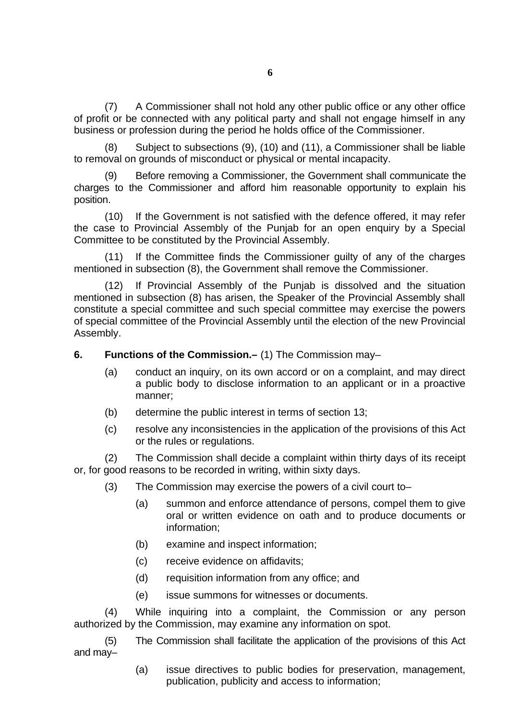(7) A Commissioner shall not hold any other public office or any other office of profit or be connected with any political party and shall not engage himself in any business or profession during the period he holds office of the Commissioner.

(8) Subject to subsections (9), (10) and (11), a Commissioner shall be liable to removal on grounds of misconduct or physical or mental incapacity.

(9) Before removing a Commissioner, the Government shall communicate the charges to the Commissioner and afford him reasonable opportunity to explain his position.

(10) If the Government is not satisfied with the defence offered, it may refer the case to Provincial Assembly of the Punjab for an open enquiry by a Special Committee to be constituted by the Provincial Assembly.

(11) If the Committee finds the Commissioner guilty of any of the charges mentioned in subsection (8), the Government shall remove the Commissioner.

(12) If Provincial Assembly of the Punjab is dissolved and the situation mentioned in subsection (8) has arisen, the Speaker of the Provincial Assembly shall constitute a special committee and such special committee may exercise the powers of special committee of the Provincial Assembly until the election of the new Provincial Assembly.

- <span id="page-5-0"></span>**6. Functions of the Commission.–** (1) The Commission may–
	- (a) conduct an inquiry, on its own accord or on a complaint, and may direct a public body to disclose information to an applicant or in a proactive manner;
	- (b) determine the public interest in terms of section 13;
	- (c) resolve any inconsistencies in the application of the provisions of this Act or the rules or regulations.

(2) The Commission shall decide a complaint within thirty days of its receipt or, for good reasons to be recorded in writing, within sixty days.

- (3) The Commission may exercise the powers of a civil court to–
	- (a) summon and enforce attendance of persons, compel them to give oral or written evidence on oath and to produce documents or information;
	- (b) examine and inspect information;
	- (c) receive evidence on affidavits;
	- (d) requisition information from any office; and
	- (e) issue summons for witnesses or documents.

(4) While inquiring into a complaint, the Commission or any person authorized by the Commission, may examine any information on spot.

(5) The Commission shall facilitate the application of the provisions of this Act and may–

> (a) issue directives to public bodies for preservation, management, publication, publicity and access to information;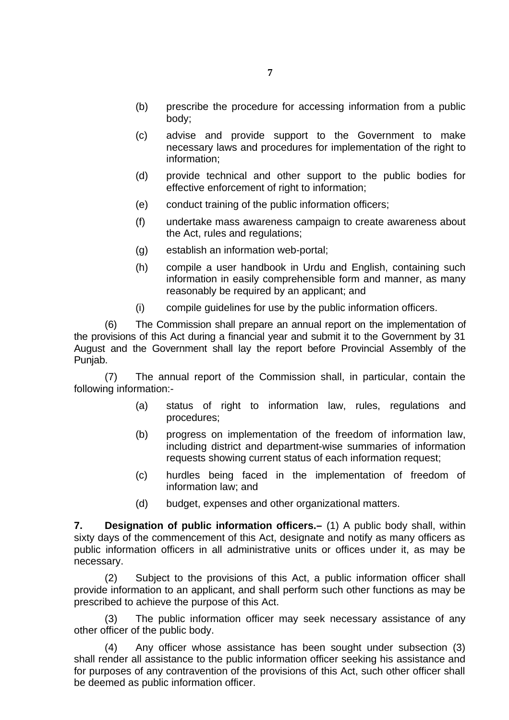- (b) prescribe the procedure for accessing information from a public body;
- (c) advise and provide support to the Government to make necessary laws and procedures for implementation of the right to information;
- (d) provide technical and other support to the public bodies for effective enforcement of right to information;
- (e) conduct training of the public information officers;
- (f) undertake mass awareness campaign to create awareness about the Act, rules and regulations;
- (g) establish an information web-portal;
- (h) compile a user handbook in Urdu and English, containing such information in easily comprehensible form and manner, as many reasonably be required by an applicant; and
- (i) compile guidelines for use by the public information officers.

(6) The Commission shall prepare an annual report on the implementation of the provisions of this Act during a financial year and submit it to the Government by 31 August and the Government shall lay the report before Provincial Assembly of the Punjab.

(7) The annual report of the Commission shall, in particular, contain the following information:-

- (a) status of right to information law, rules, regulations and procedures;
- (b) progress on implementation of the freedom of information law, including district and department-wise summaries of information requests showing current status of each information request;
- (c) hurdles being faced in the implementation of freedom of information law; and
- (d) budget, expenses and other organizational matters.

<span id="page-6-0"></span>**7. Designation of public information officers.–** (1) A public body shall, within sixty days of the commencement of this Act, designate and notify as many officers as public information officers in all administrative units or offices under it, as may be necessary.

(2) Subject to the provisions of this Act, a public information officer shall provide information to an applicant, and shall perform such other functions as may be prescribed to achieve the purpose of this Act.

(3) The public information officer may seek necessary assistance of any other officer of the public body.

(4) Any officer whose assistance has been sought under subsection (3) shall render all assistance to the public information officer seeking his assistance and for purposes of any contravention of the provisions of this Act, such other officer shall be deemed as public information officer.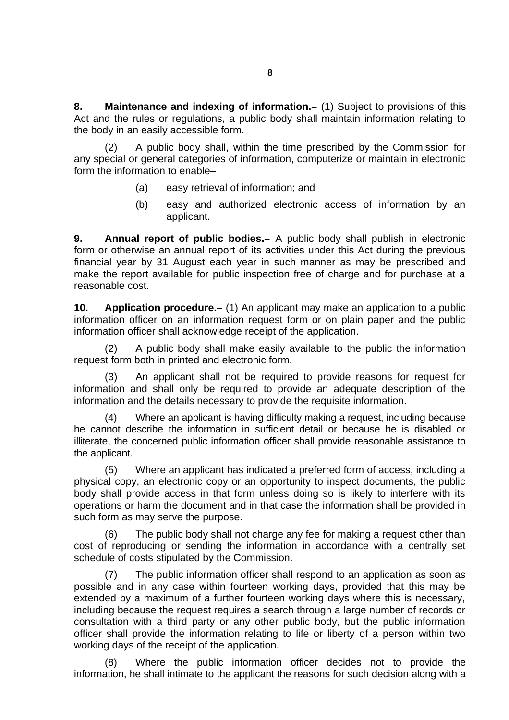<span id="page-7-2"></span>**8. Maintenance and indexing of information.–** (1) Subject to provisions of this Act and the rules or regulations, a public body shall maintain information relating to the body in an easily accessible form.

(2) A public body shall, within the time prescribed by the Commission for any special or general categories of information, computerize or maintain in electronic form the information to enable–

- (a) easy retrieval of information; and
- (b) easy and authorized electronic access of information by an applicant.

<span id="page-7-1"></span>**9. Annual report of public bodies.–** A public body shall publish in electronic form or otherwise an annual report of its activities under this Act during the previous financial year by 31 August each year in such manner as may be prescribed and make the report available for public inspection free of charge and for purchase at a reasonable cost.

<span id="page-7-0"></span>**10. Application procedure.–** (1) An applicant may make an application to a public information officer on an information request form or on plain paper and the public information officer shall acknowledge receipt of the application.

(2) A public body shall make easily available to the public the information request form both in printed and electronic form.

(3) An applicant shall not be required to provide reasons for request for information and shall only be required to provide an adequate description of the information and the details necessary to provide the requisite information.

Where an applicant is having difficulty making a request, including because he cannot describe the information in sufficient detail or because he is disabled or illiterate, the concerned public information officer shall provide reasonable assistance to the applicant.

(5) Where an applicant has indicated a preferred form of access, including a physical copy, an electronic copy or an opportunity to inspect documents, the public body shall provide access in that form unless doing so is likely to interfere with its operations or harm the document and in that case the information shall be provided in such form as may serve the purpose.

(6) The public body shall not charge any fee for making a request other than cost of reproducing or sending the information in accordance with a centrally set schedule of costs stipulated by the Commission.

(7) The public information officer shall respond to an application as soon as possible and in any case within fourteen working days, provided that this may be extended by a maximum of a further fourteen working days where this is necessary, including because the request requires a search through a large number of records or consultation with a third party or any other public body, but the public information officer shall provide the information relating to life or liberty of a person within two working days of the receipt of the application.

Where the public information officer decides not to provide the information, he shall intimate to the applicant the reasons for such decision along with a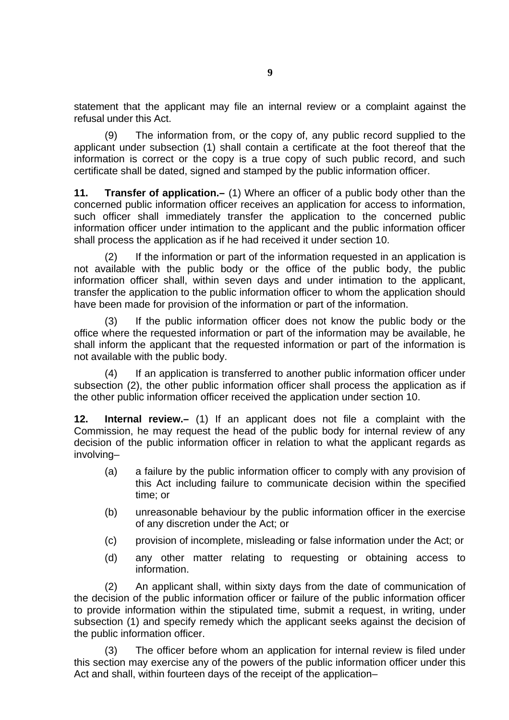statement that the applicant may file an internal review or a complaint against the refusal under this Act.

(9) The information from, or the copy of, any public record supplied to the applicant under subsection (1) shall contain a certificate at the foot thereof that the information is correct or the copy is a true copy of such public record, and such certificate shall be dated, signed and stamped by the public information officer.

<span id="page-8-1"></span>**11. Transfer of application.–** (1) Where an officer of a public body other than the concerned public information officer receives an application for access to information, such officer shall immediately transfer the application to the concerned public information officer under intimation to the applicant and the public information officer shall process the application as if he had received it under section 10.

(2) If the information or part of the information requested in an application is not available with the public body or the office of the public body, the public information officer shall, within seven days and under intimation to the applicant, transfer the application to the public information officer to whom the application should have been made for provision of the information or part of the information.

(3) If the public information officer does not know the public body or the office where the requested information or part of the information may be available, he shall inform the applicant that the requested information or part of the information is not available with the public body.

(4) If an application is transferred to another public information officer under subsection (2), the other public information officer shall process the application as if the other public information officer received the application under section 10.

<span id="page-8-0"></span>**12. Internal review.–** (1) If an applicant does not file a complaint with the Commission, he may request the head of the public body for internal review of any decision of the public information officer in relation to what the applicant regards as involving–

- (a) a failure by the public information officer to comply with any provision of this Act including failure to communicate decision within the specified time; or
- (b) unreasonable behaviour by the public information officer in the exercise of any discretion under the Act; or
- (c) provision of incomplete, misleading or false information under the Act; or
- (d) any other matter relating to requesting or obtaining access to information.

(2) An applicant shall, within sixty days from the date of communication of the decision of the public information officer or failure of the public information officer to provide information within the stipulated time, submit a request, in writing, under subsection (1) and specify remedy which the applicant seeks against the decision of the public information officer.

(3) The officer before whom an application for internal review is filed under this section may exercise any of the powers of the public information officer under this Act and shall, within fourteen days of the receipt of the application–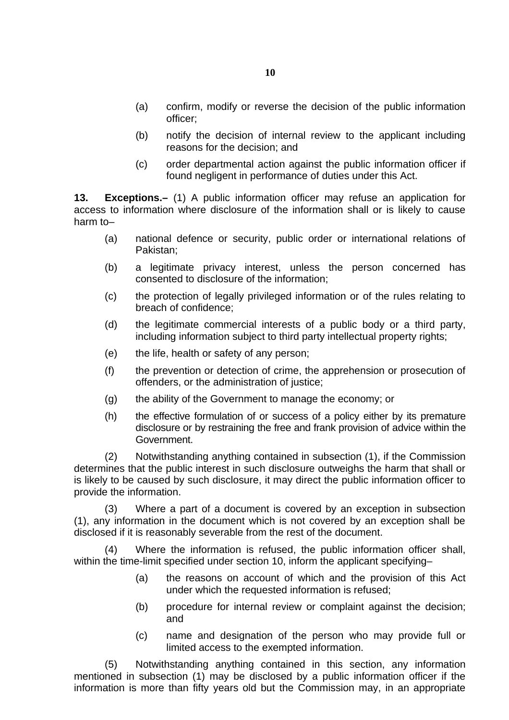- (a) confirm, modify or reverse the decision of the public information officer;
- (b) notify the decision of internal review to the applicant including reasons for the decision; and
- (c) order departmental action against the public information officer if found negligent in performance of duties under this Act.

<span id="page-9-0"></span>**13. Exceptions.–** (1) A public information officer may refuse an application for access to information where disclosure of the information shall or is likely to cause harm to–

- (a) national defence or security, public order or international relations of Pakistan;
- (b) a legitimate privacy interest, unless the person concerned has consented to disclosure of the information;
- (c) the protection of legally privileged information or of the rules relating to breach of confidence;
- (d) the legitimate commercial interests of a public body or a third party, including information subject to third party intellectual property rights;
- (e) the life, health or safety of any person;
- (f) the prevention or detection of crime, the apprehension or prosecution of offenders, or the administration of justice;
- (g) the ability of the Government to manage the economy; or
- (h) the effective formulation of or success of a policy either by its premature disclosure or by restraining the free and frank provision of advice within the Government.

(2) Notwithstanding anything contained in subsection (1), if the Commission determines that the public interest in such disclosure outweighs the harm that shall or is likely to be caused by such disclosure, it may direct the public information officer to provide the information.

(3) Where a part of a document is covered by an exception in subsection (1), any information in the document which is not covered by an exception shall be disclosed if it is reasonably severable from the rest of the document.

Where the information is refused, the public information officer shall, within the time-limit specified under section 10, inform the applicant specifying–

- (a) the reasons on account of which and the provision of this Act under which the requested information is refused;
- (b) procedure for internal review or complaint against the decision; and
- (c) name and designation of the person who may provide full or limited access to the exempted information.

(5) Notwithstanding anything contained in this section, any information mentioned in subsection (1) may be disclosed by a public information officer if the information is more than fifty years old but the Commission may, in an appropriate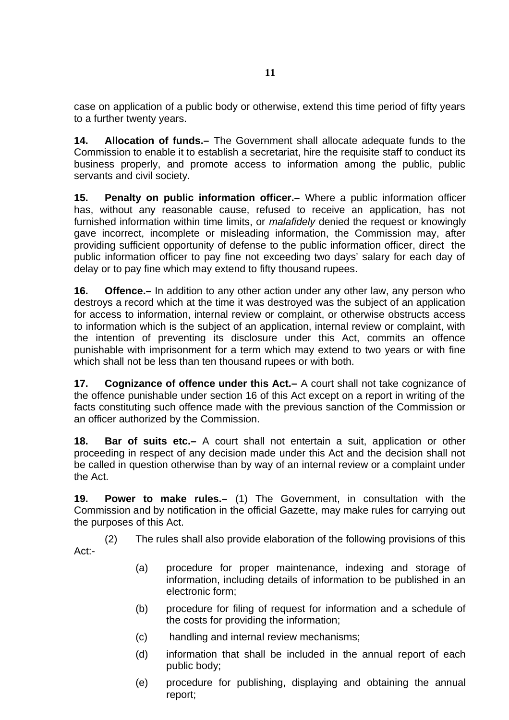case on application of a public body or otherwise, extend this time period of fifty years to a further twenty years.

<span id="page-10-5"></span>**14. Allocation of funds.–** The Government shall allocate adequate funds to the Commission to enable it to establish a secretariat, hire the requisite staff to conduct its business properly, and promote access to information among the public, public servants and civil society.

<span id="page-10-4"></span>**15. Penalty on public information officer.–** Where a public information officer has, without any reasonable cause, refused to receive an application, has not furnished information within time limits, or *malafidely* denied the request or knowingly gave incorrect, incomplete or misleading information, the Commission may, after providing sufficient opportunity of defense to the public information officer, direct the public information officer to pay fine not exceeding two days' salary for each day of delay or to pay fine which may extend to fifty thousand rupees.

<span id="page-10-3"></span>**16. Offence.–** In addition to any other action under any other law, any person who destroys a record which at the time it was destroyed was the subject of an application for access to information, internal review or complaint, or otherwise obstructs access to information which is the subject of an application, internal review or complaint, with the intention of preventing its disclosure under this Act, commits an offence punishable with imprisonment for a term which may extend to two years or with fine which shall not be less than ten thousand rupees or with both.

<span id="page-10-2"></span>**17. Cognizance of offence under this Act.–** A court shall not take cognizance of the offence punishable under section 16 of this Act except on a report in writing of the facts constituting such offence made with the previous sanction of the Commission or an officer authorized by the Commission.

<span id="page-10-1"></span>**18. Bar of suits etc.–** A court shall not entertain a suit, application or other proceeding in respect of any decision made under this Act and the decision shall not be called in question otherwise than by way of an internal review or a complaint under the Act.

<span id="page-10-0"></span>**19. Power to make rules.–** (1) The Government, in consultation with the Commission and by notification in the official Gazette, may make rules for carrying out the purposes of this Act.

(2) The rules shall also provide elaboration of the following provisions of this Act:-

- (a) procedure for proper maintenance, indexing and storage of information, including details of information to be published in an electronic form;
- (b) procedure for filing of request for information and a schedule of the costs for providing the information;
- (c) handling and internal review mechanisms;
- (d) information that shall be included in the annual report of each public body;
- (e) procedure for publishing, displaying and obtaining the annual report;